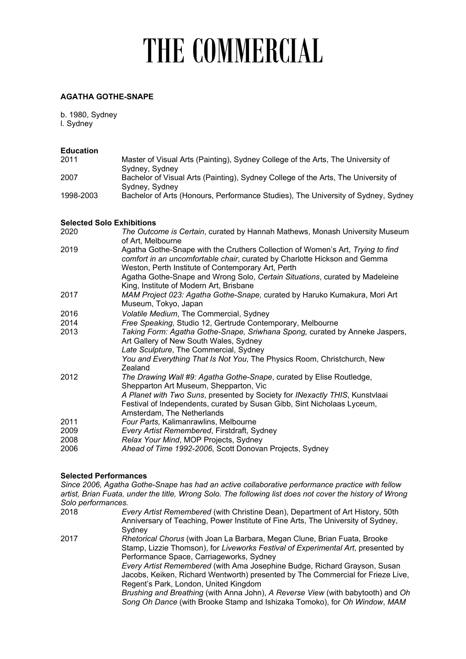# THE COMMERCIAL

### **AGATHA GOTHE-SNAPE**

b. 1980, Sydney l. Sydney

| <b>Education</b> |                                                                                   |
|------------------|-----------------------------------------------------------------------------------|
| 2011             | Master of Visual Arts (Painting), Sydney College of the Arts, The University of   |
|                  | Sydney, Sydney                                                                    |
| 2007             | Bachelor of Visual Arts (Painting), Sydney College of the Arts, The University of |
|                  | Sydney, Sydney                                                                    |
| 1998-2003        | Bachelor of Arts (Honours, Performance Studies), The University of Sydney, Sydney |
|                  |                                                                                   |

#### **Selected Solo Exhibitions**

| 2020 | The Outcome is Certain, curated by Hannah Mathews, Monash University Museum<br>of Art, Melbourne                                                                                                                  |
|------|-------------------------------------------------------------------------------------------------------------------------------------------------------------------------------------------------------------------|
| 2019 | Agatha Gothe-Snape with the Cruthers Collection of Women's Art, Trying to find<br>comfort in an uncomfortable chair, curated by Charlotte Hickson and Gemma<br>Weston, Perth Institute of Contemporary Art, Perth |
|      | Agatha Gothe-Snape and Wrong Solo, Certain Situations, curated by Madeleine<br>King, Institute of Modern Art, Brisbane                                                                                            |
| 2017 | MAM Project 023: Agatha Gothe-Snape, curated by Haruko Kumakura, Mori Art<br>Museum, Tokyo, Japan                                                                                                                 |
| 2016 | Volatile Medium, The Commercial, Sydney                                                                                                                                                                           |
| 2014 | Free Speaking, Studio 12, Gertrude Contemporary, Melbourne                                                                                                                                                        |
| 2013 | Taking Form: Agatha Gothe-Snape, Sriwhana Spong, curated by Anneke Jaspers,<br>Art Gallery of New South Wales, Sydney                                                                                             |
|      | Late Sculpture, The Commercial, Sydney                                                                                                                                                                            |
|      | You and Everything That Is Not You, The Physics Room, Christchurch, New<br>Zealand                                                                                                                                |
| 2012 | The Drawing Wall #9: Agatha Gothe-Snape, curated by Elise Routledge,<br>Shepparton Art Museum, Shepparton, Vic                                                                                                    |
|      | A Planet with Two Suns, presented by Society for INexactly THIS, Kunstvlaai<br>Festival of Independents, curated by Susan Gibb, Sint Nicholaas Lyceum,<br>Amsterdam, The Netherlands                              |
| 2011 | Four Parts, Kalimanrawlins, Melbourne                                                                                                                                                                             |
| 2009 | Every Artist Remembered, Firstdraft, Sydney                                                                                                                                                                       |
| 2008 | Relax Your Mind, MOP Projects, Sydney                                                                                                                                                                             |
| 2006 | Ahead of Time 1992-2006, Scott Donovan Projects, Sydney                                                                                                                                                           |

#### **Selected Performances**

*Since 2006, Agatha Gothe-Snape has had an active collaborative performance practice with fellow artist, Brian Fuata, under the title, Wrong Solo. The following list does not cover the history of Wrong Solo performances.* 2018 *Every Artist Remembered* (with Christine Dean), Department of Art History, 50th

Anniversary of Teaching, Power Institute of Fine Arts, The University of Sydney, Sydney 2017 *Rhetorical Chorus* (with Joan La Barbara, Megan Clune, Brian Fuata, Brooke Stamp, Lizzie Thomson), for *Liveworks Festival of Experimental Art*, presented by Performance Space, Carriageworks, Sydney *Every Artist Remembered* (with Ama Josephine Budge, Richard Grayson, Susan Jacobs, Keiken, Richard Wentworth) presented by The Commercial for Frieze Live, Regent's Park, London, United Kingdom *Brushing and Breathing* (with Anna John), *A Reverse View* (with babytooth) and *Oh Song Oh Dance* (with Brooke Stamp and Ishizaka Tomoko), for *Oh Window*, *MAM*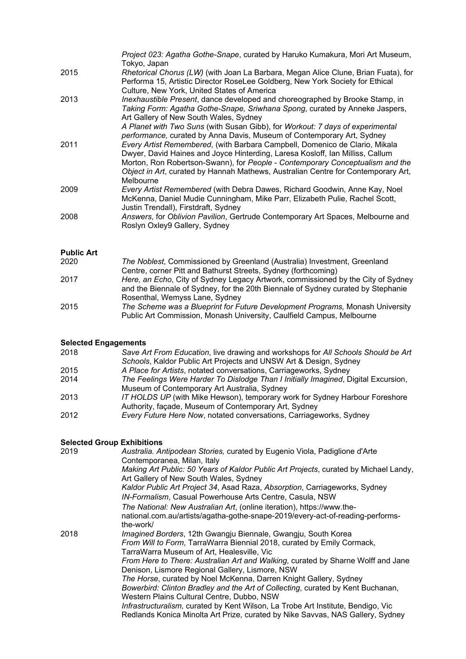|      | Project 023: Agatha Gothe-Snape, curated by Haruko Kumakura, Mori Art Museum,<br>Tokyo, Japan                                                                                                                                                                                                                                                                    |
|------|------------------------------------------------------------------------------------------------------------------------------------------------------------------------------------------------------------------------------------------------------------------------------------------------------------------------------------------------------------------|
| 2015 | Rhetorical Chorus (LW) (with Joan La Barbara, Megan Alice Clune, Brian Fuata), for<br>Performa 15, Artistic Director RoseLee Goldberg, New York Society for Ethical<br>Culture, New York, United States of America                                                                                                                                               |
| 2013 | Inexhaustible Present, dance developed and choreographed by Brooke Stamp, in<br>Taking Form: Agatha Gothe-Snape, Sriwhana Spong, curated by Anneke Jaspers,<br>Art Gallery of New South Wales, Sydney<br>A Planet with Two Suns (with Susan Gibb), for Workout: 7 days of experimental<br>performance, curated by Anna Davis, Museum of Contemporary Art, Sydney |
| 2011 | Every Artist Remembered, (with Barbara Campbell, Domenico de Clario, Mikala<br>Dwyer, David Haines and Joyce Hinterding, Laresa Kosloff, Ian Milliss, Callum<br>Morton, Ron Robertson-Swann), for People - Contemporary Conceptualism and the<br>Object in Art, curated by Hannah Mathews, Australian Centre for Contemporary Art,<br>Melbourne                  |
| 2009 | Every Artist Remembered (with Debra Dawes, Richard Goodwin, Anne Kay, Noel<br>McKenna, Daniel Mudie Cunningham, Mike Parr, Elizabeth Pulie, Rachel Scott,<br>Justin Trendall), Firstdraft, Sydney                                                                                                                                                                |
| 2008 | Answers, for Oblivion Pavilion, Gertrude Contemporary Art Spaces, Melbourne and<br>Roslyn Oxley9 Gallery, Sydney                                                                                                                                                                                                                                                 |

## **Public Art**

| 2020 | The Noblest, Commissioned by Greenland (Australia) Investment, Greenland         |
|------|----------------------------------------------------------------------------------|
|      | Centre, corner Pitt and Bathurst Streets, Sydney (forthcoming)                   |
| 2017 | Here, an Echo, City of Sydney Legacy Artwork, commissioned by the City of Sydney |
|      | and the Biennale of Sydney, for the 20th Biennale of Sydney curated by Stephanie |
|      | Rosenthal, Wemyss Lane, Sydney                                                   |
| 2015 | The Scheme was a Blueprint for Future Development Programs, Monash University    |
|      | Public Art Commission, Monash University, Caulfield Campus, Melbourne            |

## **Selected Engagements**

| 2018 | Save Art From Education, live drawing and workshops for All Schools Should be Art  |
|------|------------------------------------------------------------------------------------|
|      | Schools, Kaldor Public Art Projects and UNSW Art & Design, Sydney                  |
| 2015 | A Place for Artists, notated conversations, Carriageworks, Sydney                  |
| 2014 | The Feelings Were Harder To Dislodge Than I Initially Imagined, Digital Excursion, |
|      | Museum of Contemporary Art Australia, Sydney                                       |
| 2013 | IT HOLDS UP (with Mike Hewson), temporary work for Sydney Harbour Foreshore        |
|      | Authority, façade, Museum of Contemporary Art, Sydney                              |
| 2012 | Every Future Here Now, notated conversations, Carriageworks, Sydney                |
|      |                                                                                    |

### **Selected Group Exhibitions**

| 2019 | Australia. Antipodean Stories, curated by Eugenio Viola, Padiglione d'Arte<br>Contemporanea, Milan, Italy                           |
|------|-------------------------------------------------------------------------------------------------------------------------------------|
|      | Making Art Public: 50 Years of Kaldor Public Art Projects, curated by Michael Landy,                                                |
|      | Art Gallery of New South Wales, Sydney                                                                                              |
|      | Kaldor Public Art Project 34, Asad Raza, Absorption, Carriageworks, Sydney                                                          |
|      | IN-Formalism, Casual Powerhouse Arts Centre, Casula, NSW                                                                            |
|      | The National: New Australian Art, (online iteration), https://www.the-                                                              |
|      | national.com.au/artists/agatha-gothe-snape-2019/every-act-of-reading-performs-<br>the-work/                                         |
| 2018 | Imagined Borders, 12th Gwangju Biennale, Gwangju, South Korea                                                                       |
|      | From Will to Form, TarraWarra Biennial 2018, curated by Emily Cormack,                                                              |
|      | TarraWarra Museum of Art, Healesville, Vic                                                                                          |
|      | From Here to There: Australian Art and Walking, curated by Sharne Wolff and Jane<br>Denison, Lismore Regional Gallery, Lismore, NSW |
|      | The Horse, curated by Noel McKenna, Darren Knight Gallery, Sydney                                                                   |
|      | Bowerbird: Clinton Bradley and the Art of Collecting, curated by Kent Buchanan,                                                     |
|      | Western Plains Cultural Centre, Dubbo, NSW                                                                                          |
|      | Infrastructuralism, curated by Kent Wilson, La Trobe Art Institute, Bendigo, Vic                                                    |
|      | Redlands Konica Minolta Art Prize, curated by Nike Savvas, NAS Gallery, Sydney                                                      |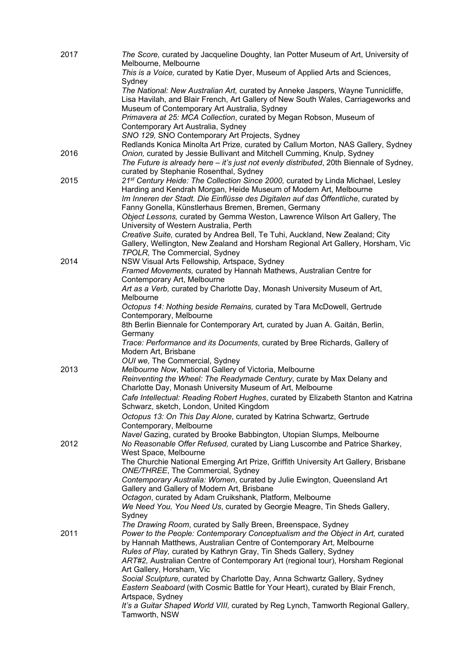| 2017 | The Score, curated by Jacqueline Doughty, Ian Potter Museum of Art, University of<br>Melbourne, Melbourne                                                       |
|------|-----------------------------------------------------------------------------------------------------------------------------------------------------------------|
|      | This is a Voice, curated by Katie Dyer, Museum of Applied Arts and Sciences,                                                                                    |
|      | Sydney<br>The National: New Australian Art, curated by Anneke Jaspers, Wayne Tunnicliffe,                                                                       |
|      | Lisa Havilah, and Blair French, Art Gallery of New South Wales, Carriageworks and                                                                               |
|      | Museum of Contemporary Art Australia, Sydney                                                                                                                    |
|      | Primavera at 25: MCA Collection, curated by Megan Robson, Museum of                                                                                             |
|      | Contemporary Art Australia, Sydney<br>SNO 129, SNO Contemporary Art Projects, Sydney                                                                            |
|      | Redlands Konica Minolta Art Prize, curated by Callum Morton, NAS Gallery, Sydney                                                                                |
| 2016 | Onion, curated by Jessie Bullivant and Mitchell Cumming, Knulp, Sydney                                                                                          |
|      | The Future is already here - it's just not evenly distributed, 20th Biennale of Sydney,                                                                         |
|      | curated by Stephanie Rosenthal, Sydney                                                                                                                          |
| 2015 | 21st Century Heide: The Collection Since 2000, curated by Linda Michael, Lesley<br>Harding and Kendrah Morgan, Heide Museum of Modern Art, Melbourne            |
|      | Im Inneren der Stadt. Die Einflüsse des Digitalen auf das Öffentliche, curated by                                                                               |
|      | Fanny Gonella, Künstlerhaus Bremen, Bremen, Germany                                                                                                             |
|      | Object Lessons, curated by Gemma Weston, Lawrence Wilson Art Gallery, The                                                                                       |
|      | University of Western Australia, Perth                                                                                                                          |
|      | Creative Suite, curated by Andrea Bell, Te Tuhi, Auckland, New Zealand; City<br>Gallery, Wellington, New Zealand and Horsham Regional Art Gallery, Horsham, Vic |
|      | TPOLR, The Commercial, Sydney                                                                                                                                   |
| 2014 | NSW Visual Arts Fellowship, Artspace, Sydney                                                                                                                    |
|      | Framed Movements, curated by Hannah Mathews, Australian Centre for                                                                                              |
|      | Contemporary Art, Melbourne                                                                                                                                     |
|      | Art as a Verb, curated by Charlotte Day, Monash University Museum of Art,<br>Melbourne                                                                          |
|      | Octopus 14: Nothing beside Remains, curated by Tara McDowell, Gertrude                                                                                          |
|      | Contemporary, Melbourne                                                                                                                                         |
|      | 8th Berlin Biennale for Contemporary Art, curated by Juan A. Gaitán, Berlin,                                                                                    |
|      | Germany                                                                                                                                                         |
|      | Trace: Performance and its Documents, curated by Bree Richards, Gallery of<br>Modern Art, Brisbane                                                              |
|      | OUI we, The Commercial, Sydney                                                                                                                                  |
| 2013 | Melbourne Now, National Gallery of Victoria, Melbourne                                                                                                          |
|      | Reinventing the Wheel: The Readymade Century, curate by Max Delany and                                                                                          |
|      | Charlotte Day, Monash University Museum of Art, Melbourne                                                                                                       |
|      | Cafe Intellectual: Reading Robert Hughes, curated by Elizabeth Stanton and Katrina<br>Schwarz, sketch, London, United Kingdom                                   |
|      | Octopus 13: On This Day Alone, curated by Katrina Schwartz, Gertrude                                                                                            |
|      | Contemporary, Melbourne                                                                                                                                         |
|      | Navel Gazing, curated by Brooke Babbington, Utopian Slumps, Melbourne                                                                                           |
| 2012 | No Reasonable Offer Refused, curated by Liang Luscombe and Patrice Sharkey,                                                                                     |
|      | West Space, Melbourne<br>The Churchie National Emerging Art Prize, Griffith University Art Gallery, Brisbane                                                    |
|      | ONE/THREE, The Commercial, Sydney                                                                                                                               |
|      | Contemporary Australia: Women, curated by Julie Ewington, Queensland Art                                                                                        |
|      | Gallery and Gallery of Modern Art, Brisbane                                                                                                                     |
|      | Octagon, curated by Adam Cruikshank, Platform, Melbourne                                                                                                        |
|      | We Need You, You Need Us, curated by Georgie Meagre, Tin Sheds Gallery,<br>Sydney                                                                               |
|      | The Drawing Room, curated by Sally Breen, Breenspace, Sydney                                                                                                    |
| 2011 | Power to the People: Contemporary Conceptualism and the Object in Art, curated                                                                                  |
|      | by Hannah Matthews, Australian Centre of Contemporary Art, Melbourne                                                                                            |
|      | Rules of Play, curated by Kathryn Gray, Tin Sheds Gallery, Sydney                                                                                               |
|      | ART#2, Australian Centre of Contemporary Art (regional tour), Horsham Regional<br>Art Gallery, Horsham, Vic                                                     |
|      | Social Sculpture, curated by Charlotte Day, Anna Schwartz Gallery, Sydney                                                                                       |
|      | Eastern Seaboard (with Cosmic Battle for Your Heart), curated by Blair French,                                                                                  |
|      | Artspace, Sydney                                                                                                                                                |
|      | It's a Guitar Shaped World VIII, curated by Reg Lynch, Tamworth Regional Gallery,                                                                               |
|      | Tamworth, NSW                                                                                                                                                   |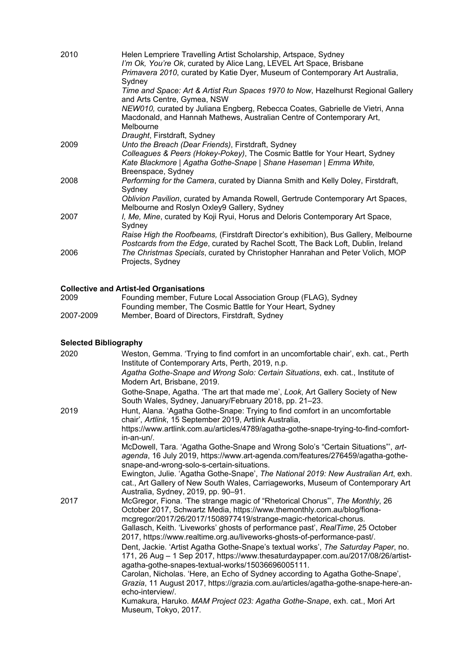| 2010 | Helen Lempriere Travelling Artist Scholarship, Artspace, Sydney<br>I'm Ok, You're Ok, curated by Alice Lang, LEVEL Art Space, Brisbane<br>Primavera 2010, curated by Katie Dyer, Museum of Contemporary Art Australia,<br>Sydney                                              |
|------|-------------------------------------------------------------------------------------------------------------------------------------------------------------------------------------------------------------------------------------------------------------------------------|
|      | Time and Space: Art & Artist Run Spaces 1970 to Now, Hazelhurst Regional Gallery<br>and Arts Centre, Gymea, NSW                                                                                                                                                               |
|      | NEW010, curated by Juliana Engberg, Rebecca Coates, Gabrielle de Vietri, Anna<br>Macdonald, and Hannah Mathews, Australian Centre of Contemporary Art,<br>Melbourne                                                                                                           |
|      | Draught, Firstdraft, Sydney                                                                                                                                                                                                                                                   |
| 2009 | Unto the Breach (Dear Friends), Firstdraft, Sydney                                                                                                                                                                                                                            |
|      | Colleagues & Peers (Hokey-Pokey), The Cosmic Battle for Your Heart, Sydney<br>Kate Blackmore   Agatha Gothe-Snape   Shane Haseman   Emma White,<br>Breenspace, Sydney                                                                                                         |
| 2008 | Performing for the Camera, curated by Dianna Smith and Kelly Doley, Firstdraft,<br>Sydney                                                                                                                                                                                     |
|      | Oblivion Pavilion, curated by Amanda Rowell, Gertrude Contemporary Art Spaces,<br>Melbourne and Roslyn Oxley9 Gallery, Sydney                                                                                                                                                 |
| 2007 | I, Me, Mine, curated by Koji Ryui, Horus and Deloris Contemporary Art Space,<br>Sydney                                                                                                                                                                                        |
| 2006 | Raise High the Roofbeams, (Firstdraft Director's exhibition), Bus Gallery, Melbourne<br>Postcards from the Edge, curated by Rachel Scott, The Back Loft, Dublin, Ireland<br>The Christmas Specials, curated by Christopher Hanrahan and Peter Volich, MOP<br>Projects, Sydney |
|      |                                                                                                                                                                                                                                                                               |

# **Collective and Artist-led Organisations**

| 2009      | Founding member, Future Local Association Group (FLAG), Sydney |
|-----------|----------------------------------------------------------------|
|           | Founding member, The Cosmic Battle for Your Heart, Sydney      |
| 2007-2009 | Member, Board of Directors, Firstdraft, Sydney                 |

# **Selected Bibliography**

| 2020 | Weston, Gemma. 'Trying to find comfort in an uncomfortable chair', exh. cat., Perth<br>Institute of Contemporary Arts, Perth, 2019, n.p.                                                                                                                                                                                                                                                   |
|------|--------------------------------------------------------------------------------------------------------------------------------------------------------------------------------------------------------------------------------------------------------------------------------------------------------------------------------------------------------------------------------------------|
|      | Agatha Gothe-Snape and Wrong Solo: Certain Situations, exh. cat., Institute of<br>Modern Art, Brisbane, 2019.                                                                                                                                                                                                                                                                              |
|      | Gothe-Snape, Agatha. 'The art that made me', Look, Art Gallery Society of New<br>South Wales, Sydney, January/February 2018, pp. 21-23.                                                                                                                                                                                                                                                    |
| 2019 | Hunt, Alana. 'Agatha Gothe-Snape: Trying to find comfort in an uncomfortable<br>chair', Artlink, 15 September 2019, Artlink Australia,                                                                                                                                                                                                                                                     |
|      | https://www.artlink.com.au/articles/4789/agatha-gothe-snape-trying-to-find-comfort-<br>$in-an-un/$ .                                                                                                                                                                                                                                                                                       |
|      | McDowell, Tara. 'Agatha Gothe-Snape and Wrong Solo's "Certain Situations", art-<br>agenda, 16 July 2019, https://www.art-agenda.com/features/276459/agatha-gothe-<br>snape-and-wrong-solo-s-certain-situations.                                                                                                                                                                            |
|      | Ewington, Julie. 'Agatha Gothe-Snape', The National 2019: New Australian Art, exh.<br>cat., Art Gallery of New South Wales, Carriageworks, Museum of Contemporary Art<br>Australia, Sydney, 2019, pp. 90-91.                                                                                                                                                                               |
| 2017 | McGregor, Fiona. 'The strange magic of "Rhetorical Chorus"', The Monthly, 26<br>October 2017, Schwartz Media, https://www.themonthly.com.au/blog/fiona-<br>mcgregor/2017/26/2017/1508977419/strange-magic-rhetorical-chorus.<br>Gallasch, Keith. 'Liveworks' ghosts of performance past', RealTime, 25 October<br>2017, https://www.realtime.org.au/liveworks-ghosts-of-performance-past/. |
|      | Dent, Jackie. 'Artist Agatha Gothe-Snape's textual works', The Saturday Paper, no.<br>171, 26 Aug - 1 Sep 2017, https://www.thesaturdaypaper.com.au/2017/08/26/artist-<br>agatha-gothe-snapes-textual-works/15036696005111.                                                                                                                                                                |
|      | Carolan, Nicholas. 'Here, an Echo of Sydney according to Agatha Gothe-Snape',<br>Grazia, 11 August 2017, https://grazia.com.au/articles/agatha-gothe-snape-here-an-<br>echo-interview/.                                                                                                                                                                                                    |
|      | Kumakura, Haruko. MAM Project 023: Agatha Gothe-Snape, exh. cat., Mori Art<br>Museum, Tokyo, 2017.                                                                                                                                                                                                                                                                                         |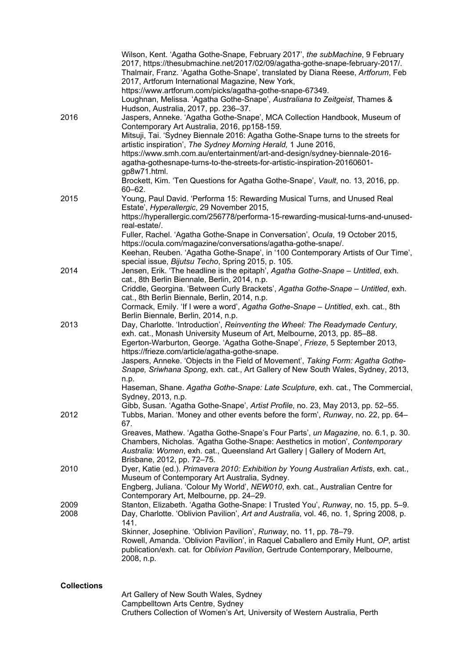|                    | Wilson, Kent. 'Agatha Gothe-Snape, February 2017', the subMachine, 9 February<br>2017, https://thesubmachine.net/2017/02/09/agatha-gothe-snape-february-2017/.<br>Thalmair, Franz. 'Agatha Gothe-Snape', translated by Diana Reese, Artforum, Feb<br>2017, Artforum International Magazine, New York,<br>https://www.artforum.com/picks/agatha-gothe-snape-67349.<br>Loughnan, Melissa. 'Agatha Gothe-Snape', Australiana to Zeitgeist, Thames &<br>Hudson, Australia, 2017, pp. 236-37.                                                     |
|--------------------|----------------------------------------------------------------------------------------------------------------------------------------------------------------------------------------------------------------------------------------------------------------------------------------------------------------------------------------------------------------------------------------------------------------------------------------------------------------------------------------------------------------------------------------------|
| 2016               | Jaspers, Anneke. 'Agatha Gothe-Snape', MCA Collection Handbook, Museum of<br>Contemporary Art Australia, 2016, pp158-159.<br>Mitsuji, Tai. 'Sydney Biennale 2016: Agatha Gothe-Snape turns to the streets for<br>artistic inspiration', The Sydney Morning Herald, 1 June 2016,<br>https://www.smh.com.au/entertainment/art-and-design/sydney-biennale-2016-<br>agatha-gothesnape-turns-to-the-streets-for-artistic-inspiration-20160601-<br>gp8w71.html.<br>Brockett, Kim. 'Ten Questions for Agatha Gothe-Snape', Vault, no. 13, 2016, pp. |
| 2015               | $60 - 62.$<br>Young, Paul David. 'Performa 15: Rewarding Musical Turns, and Unused Real<br>Estate', Hyperallergic, 29 November 2015,<br>https://hyperallergic.com/256778/performa-15-rewarding-musical-turns-and-unused-<br>real-estate/.                                                                                                                                                                                                                                                                                                    |
|                    | Fuller, Rachel. 'Agatha Gothe-Snape in Conversation', Ocula, 19 October 2015,<br>https://ocula.com/magazine/conversations/agatha-gothe-snape/.<br>Keehan, Reuben. 'Agatha Gothe-Snape', in '100 Contemporary Artists of Our Time',<br>special issue, Bijutsu Techo, Spring 2015, p. 105.                                                                                                                                                                                                                                                     |
| 2014               | Jensen, Erik. 'The headline is the epitaph', Agatha Gothe-Snape - Untitled, exh.<br>cat., 8th Berlin Biennale, Berlin, 2014, n.p.<br>Criddle, Georgina. 'Between Curly Brackets', Agatha Gothe-Snape - Untitled, exh.<br>cat., 8th Berlin Biennale, Berlin, 2014, n.p.<br>Cormack, Emily. 'If I were a word', Agatha Gothe-Snape - Untitled, exh. cat., 8th                                                                                                                                                                                  |
| 2013               | Berlin Biennale, Berlin, 2014, n.p.<br>Day, Charlotte. 'Introduction', Reinventing the Wheel: The Readymade Century,<br>exh. cat., Monash University Museum of Art, Melbourne, 2013, pp. 85-88.<br>Egerton-Warburton, George. 'Agatha Gothe-Snape', Frieze, 5 September 2013,<br>https://frieze.com/article/agatha-gothe-snape.<br>Jaspers, Anneke. 'Objects in the Field of Movement', Taking Form: Agatha Gothe-<br>Snape, Sriwhana Spong, exh. cat., Art Gallery of New South Wales, Sydney, 2013,                                        |
|                    | n.p.<br>Haseman, Shane. Agatha Gothe-Snape: Late Sculpture, exh. cat., The Commercial,<br>Sydney, 2013, n.p.<br>Gibb, Susan. 'Agatha Gothe-Snape', Artist Profile, no. 23, May 2013, pp. 52-55.                                                                                                                                                                                                                                                                                                                                              |
| 2012               | Tubbs, Marian. 'Money and other events before the form', Runway, no. 22, pp. 64–<br>67.<br>Greaves, Mathew. 'Agatha Gothe-Snape's Four Parts', un Magazine, no. 6.1, p. 30.<br>Chambers, Nicholas. 'Agatha Gothe-Snape: Aesthetics in motion', Contemporary<br>Australia: Women, exh. cat., Queensland Art Gallery   Gallery of Modern Art,<br>Brisbane, 2012, pp. 72-75.                                                                                                                                                                    |
| 2010               | Dyer, Katie (ed.). Primavera 2010: Exhibition by Young Australian Artists, exh. cat.,<br>Museum of Contemporary Art Australia, Sydney.<br>Engberg, Juliana. 'Colour My World', NEW010, exh. cat., Australian Centre for<br>Contemporary Art, Melbourne, pp. 24-29.                                                                                                                                                                                                                                                                           |
| 2009<br>2008       | Stanton, Elizabeth. 'Agatha Gothe-Snape: I Trusted You', Runway, no. 15, pp. 5-9.<br>Day, Charlotte. 'Oblivion Pavilion', Art and Australia, vol. 46, no. 1, Spring 2008, p.<br>141.<br>Skinner, Josephine. 'Oblivion Pavilion', Runway, no. 11, pp. 78-79.<br>Rowell, Amanda. 'Oblivion Pavilion', in Raquel Caballero and Emily Hunt, OP, artist<br>publication/exh. cat. for Oblivion Pavilion, Gertrude Contemporary, Melbourne,<br>2008, n.p.                                                                                           |
| <b>Collections</b> | Art Gallery of New South Wales, Sydney<br>Campbelltown Arts Centre, Sydney<br>Cruthers Collection of Women's Art, University of Western Australia, Perth                                                                                                                                                                                                                                                                                                                                                                                     |